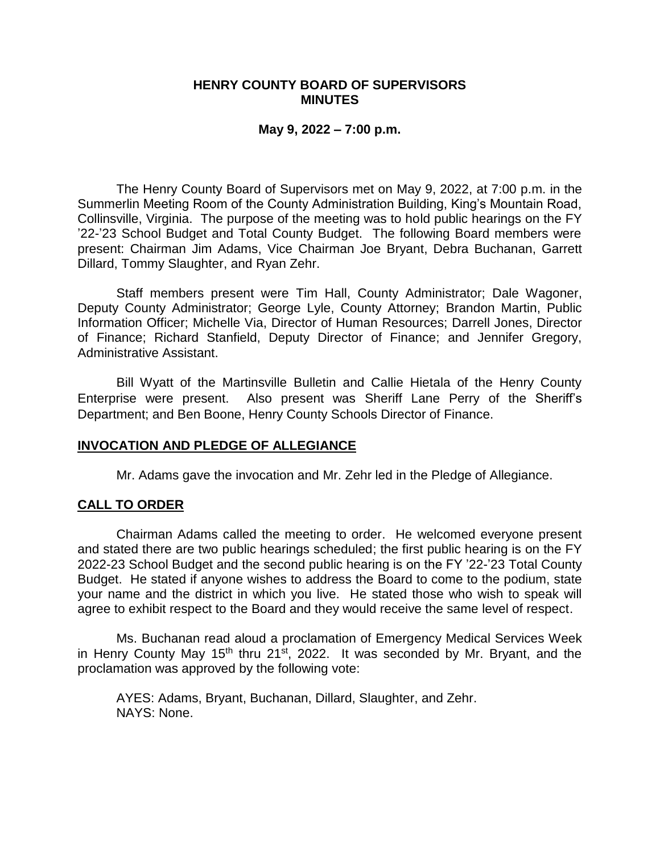### **HENRY COUNTY BOARD OF SUPERVISORS MINUTES**

#### **May 9, 2022 – 7:00 p.m.**

The Henry County Board of Supervisors met on May 9, 2022, at 7:00 p.m. in the Summerlin Meeting Room of the County Administration Building, King's Mountain Road, Collinsville, Virginia. The purpose of the meeting was to hold public hearings on the FY '22-'23 School Budget and Total County Budget. The following Board members were present: Chairman Jim Adams, Vice Chairman Joe Bryant, Debra Buchanan, Garrett Dillard, Tommy Slaughter, and Ryan Zehr.

Staff members present were Tim Hall, County Administrator; Dale Wagoner, Deputy County Administrator; George Lyle, County Attorney; Brandon Martin, Public Information Officer; Michelle Via, Director of Human Resources; Darrell Jones, Director of Finance; Richard Stanfield, Deputy Director of Finance; and Jennifer Gregory, Administrative Assistant.

Bill Wyatt of the Martinsville Bulletin and Callie Hietala of the Henry County Enterprise were present. Also present was Sheriff Lane Perry of the Sheriff's Department; and Ben Boone, Henry County Schools Director of Finance.

# **INVOCATION AND PLEDGE OF ALLEGIANCE**

Mr. Adams gave the invocation and Mr. Zehr led in the Pledge of Allegiance.

# **CALL TO ORDER**

Chairman Adams called the meeting to order. He welcomed everyone present and stated there are two public hearings scheduled; the first public hearing is on the FY 2022-23 School Budget and the second public hearing is on the FY '22-'23 Total County Budget. He stated if anyone wishes to address the Board to come to the podium, state your name and the district in which you live. He stated those who wish to speak will agree to exhibit respect to the Board and they would receive the same level of respect.

Ms. Buchanan read aloud a proclamation of Emergency Medical Services Week in Henry County May 15<sup>th</sup> thru 21<sup>st</sup>, 2022. It was seconded by Mr. Bryant, and the proclamation was approved by the following vote:

AYES: Adams, Bryant, Buchanan, Dillard, Slaughter, and Zehr. NAYS: None.